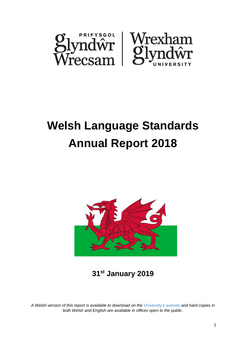

# **Welsh Language Standards Annual Report 2018**



**31st January 2019**

*A Welsh version of this report is available to download on the [University's website](https://www.glyndwr.ac.uk/cy/YnglynaPhrifysgolGlyndwr/PolisiauaDogfennau/DogfennauCorfforaethol/) and hard copies in both Welsh and English are available in offices open to the public.*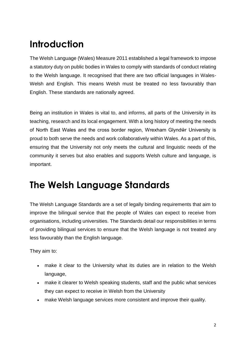# **Introduction**

The Welsh Language (Wales) Measure 2011 established a legal framework to impose a statutory duty on public bodies in Wales to comply with standards of conduct relating to the Welsh language. It recognised that there are two official languages in Wales-Welsh and English. This means Welsh must be treated no less favourably than English. These standards are nationally agreed.

Being an institution in Wales is vital to, and informs, all parts of the University in its teaching, research and its local engagement. With a long history of meeting the needs of North East Wales and the cross border region, Wrexham Glyndŵr University is proud to both serve the needs and work collaboratively within Wales. As a part of this, ensuring that the University not only meets the cultural and linguistic needs of the community it serves but also enables and supports Welsh culture and language, is important.

## **The Welsh Language Standards**

The Welsh Language Standards are a set of legally binding requirements that aim to improve the bilingual service that the people of Wales can expect to receive from organisations, including universities. The Standards detail our responsibilities in terms of providing bilingual services to ensure that the Welsh language is not treated any less favourably than the English language.

They aim to:

- make it clear to the University what its duties are in relation to the Welsh language,
- make it clearer to Welsh speaking students, staff and the public what services they can expect to receive in Welsh from the University
- make Welsh language services more consistent and improve their quality.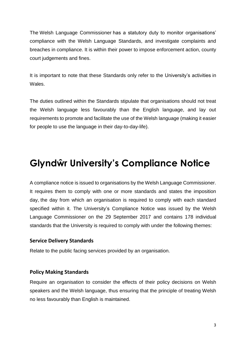The [Welsh Language Commissioner](http://www.comisiynyddygymraeg.cymru/english/Pages/Home.aspx) has a statutory duty to monitor organisations' compliance with the Welsh Language Standards, and investigate complaints and breaches in compliance. It is within their power to impose enforcement action, county court judgements and fines.

It is important to note that these Standards only refer to the University's activities in Wales.

The duties outlined within the Standards stipulate that organisations should not treat the Welsh language less favourably than the English language, and lay out requirements to promote and facilitate the use of the Welsh language (making it easier for people to use the language in their day-to-day-life).

# **Glyndŵr University's Compliance Notice**

A compliance notice is issued to organisations by the Welsh Language Commissioner. It requires them to comply with one or more standards and states the imposition day, the day from which an organisation is required to comply with each standard specified within it. The University's [Compliance Notice](https://www.glyndwr.ac.uk/en/media/wgu-compliance-notice.pdf) was issued by the Welsh Language Commissioner on the 29 September 2017 and contains 178 individual standards that the University is required to comply with under the following themes:

#### **Service Delivery Standards**

Relate to the public facing services provided by an organisation.

#### **Policy Making Standards**

Require an organisation to consider the effects of their policy decisions on Welsh speakers and the Welsh language, thus ensuring that the principle of treating Welsh no less favourably than English is maintained.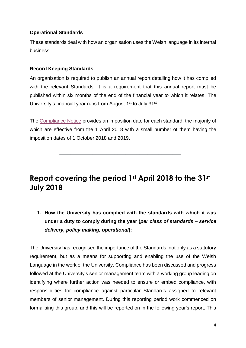#### **Operational Standards**

These standards deal with how an organisation uses the Welsh language in its internal business.

#### **Record Keeping Standards**

An organisation is required to publish an annual report detailing how it has complied with the relevant Standards. It is a requirement that this annual report must be published within six months of the end of the financial year to which it relates. The University's financial year runs from August 1<sup>st</sup> to July 31<sup>st</sup>.

The [Compliance Notice](https://www.glyndwr.ac.uk/en/media/wgu-compliance-notice.pdf) provides an imposition date for each standard, the majority of which are effective from the 1 April 2018 with a small number of them having the imposition dates of 1 October 2018 and 2019.

### **Report covering the period 1st April 2018 to the 31st July 2018**

\_\_\_\_\_\_\_\_\_\_\_\_\_\_\_\_\_\_\_\_\_\_\_\_\_\_\_\_\_\_\_\_\_\_\_\_\_\_\_\_\_\_\_\_

**1. How the University has complied with the standards with which it was under a duty to comply during the year (***per class of standards – service delivery, policy making, operational***);**

The University has recognised the importance of the Standards, not only as a statutory requirement, but as a means for supporting and enabling the use of the Welsh Language in the work of the University. Compliance has been discussed and progress followed at the University's senior management team with a working group leading on identifying where further action was needed to ensure or embed compliance, with responsibilities for compliance against particular Standards assigned to relevant members of senior management. During this reporting period work commenced on formalising this group, and this will be reported on in the following year's report. This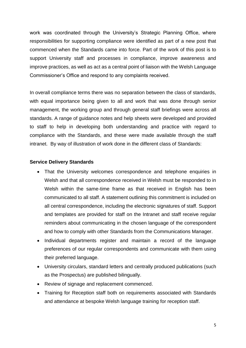work was coordinated through the University's Strategic Planning Office, where responsibilities for supporting compliance were identified as part of a new post that commenced when the Standards came into force. Part of the work of this post is to support University staff and processes in compliance, improve awareness and improve practices, as well as act as a central point of liaison with the Welsh Language Commissioner's Office and respond to any complaints received.

In overall compliance terms there was no separation between the class of standards, with equal importance being given to all and work that was done through senior management, the working group and through general staff briefings were across all standards. A range of guidance notes and help sheets were developed and provided to staff to help in developing both understanding and practice with regard to compliance with the Standards, and these were made available through the staff intranet. By way of illustration of work done in the different class of Standards:

#### **Service Delivery Standards**

- That the University welcomes correspondence and telephone enquiries in Welsh and that all correspondence received in Welsh must be responded to in Welsh within the same-time frame as that received in English has been communicated to all staff. A statement outlining this commitment is included on all central correspondence, including the electronic signatures of staff. Support and templates are provided for staff on the Intranet and staff receive regular reminders about communicating in the chosen language of the correspondent and how to comply with other Standards from the Communications Manager.
- Individual departments register and maintain a record of the language preferences of our regular correspondents and communicate with them using their preferred language.
- University circulars, standard letters and centrally produced publications (such as the Prospectus) are published bilingually.
- Review of signage and replacement commenced.
- Training for Reception staff both on requirements associated with Standards and attendance at bespoke Welsh language training for reception staff.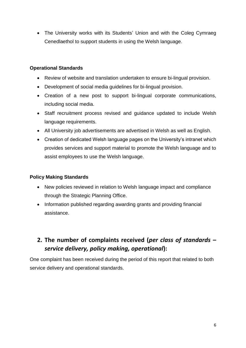• The University works with its Students' Union and with the Coleg Cymraeg Cenedlaethol to support students in using the Welsh language.

#### **Operational Standards**

- Review of website and translation undertaken to ensure bi-lingual provision.
- Development of social media guidelines for bi-lingual provision.
- Creation of a new post to support bi-lingual corporate communications, including social media.
- Staff recruitment process revised and guidance updated to include Welsh language requirements.
- All University job advertisements are advertised in Welsh as well as English.
- Creation of dedicated Welsh language pages on the University's intranet which provides services and support material to promote the Welsh language and to assist employees to use the Welsh language.

#### **Policy Making Standards**

- New policies reviewed in relation to Welsh language impact and compliance through the Strategic Planning Office.
- Information published regarding awarding grants and providing financial assistance.

### **2. The number of complaints received (***per class of standards – service delivery, policy making, operational***):**

One complaint has been received during the period of this report that related to both service delivery and operational standards.